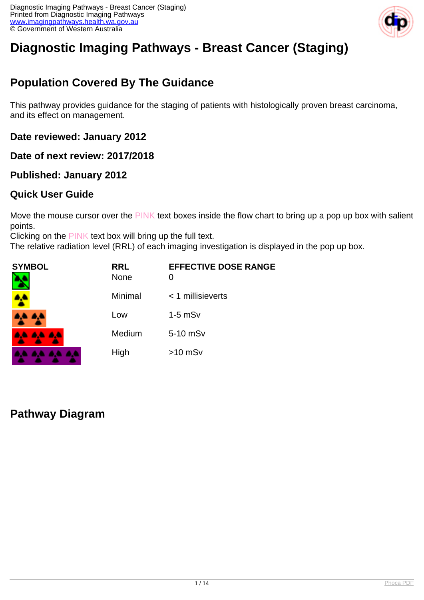

# **Diagnostic Imaging Pathways - Breast Cancer (Staging)**

## **Population Covered By The Guidance**

This pathway provides guidance for the staging of patients with histologically proven breast carcinoma, and its effect on management.

**Date reviewed: January 2012**

**Date of next review: 2017/2018** 

**Published: January 2012**

#### **Quick User Guide**

Move the mouse cursor over the PINK text boxes inside the flow chart to bring up a pop up box with salient points.

Clicking on the PINK text box will bring up the full text.

The relative radiation level (RRL) of each imaging investigation is displayed in the pop up box.

| SYMBOL   | <b>RRL</b><br><b>None</b> | <b>EFFECTIVE DOSE RANGE</b> |
|----------|---------------------------|-----------------------------|
| 4        | Minimal                   | $<$ 1 millisieverts         |
| 4,4 4,4  | Low                       | $1-5$ mSv                   |
| AA AA AA | Medium                    | 5-10 mSv                    |
|          | High                      | $>10$ mSv                   |

#### **Pathway Diagram**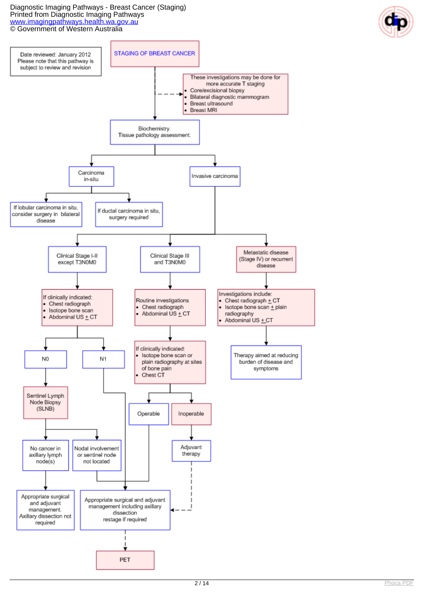

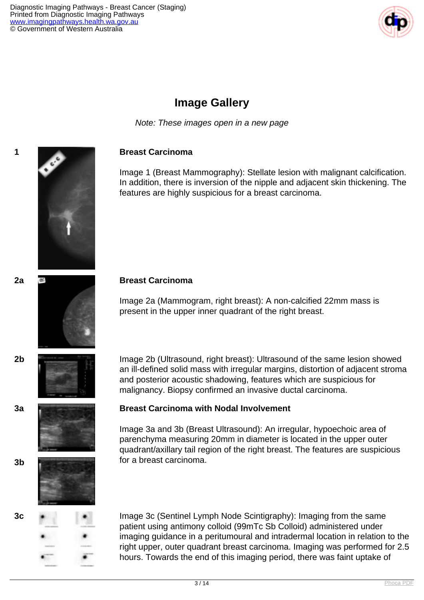

### **Image Gallery**

Note: These images open in a new page

#### **1 Breast Carcinoma**

Image 1 (Breast Mammography): Stellate lesion with malignant calcification. In addition, there is inversion of the nipple and adjacent skin thickening. The features are highly suspicious for a breast carcinoma.

#### **2a Breast Carcinoma**

Image 2a (Mammogram, right breast): A non-calcified 22mm mass is present in the upper inner quadrant of the right breast.

**2b** Image 2b (Ultrasound, right breast): Ultrasound of the same lesion showed an ill-defined solid mass with irregular margins, distortion of adjacent stroma and posterior acoustic shadowing, features which are suspicious for malignancy. Biopsy confirmed an invasive ductal carcinoma.

#### **3a Breast Carcinoma with Nodal Involvement**

Image 3a and 3b (Breast Ultrasound): An irregular, hypoechoic area of parenchyma measuring 20mm in diameter is located in the upper outer quadrant/axillary tail region of the right breast. The features are suspicious for a breast carcinoma. **3b**



**3c** Image 3c (Sentinel Lymph Node Scintigraphy): Imaging from the same patient using antimony colloid (99mTc Sb Colloid) administered under imaging guidance in a peritumoural and intradermal location in relation to the right upper, outer quadrant breast carcinoma. Imaging was performed for 2.5 hours. Towards the end of this imaging period, there was faint uptake of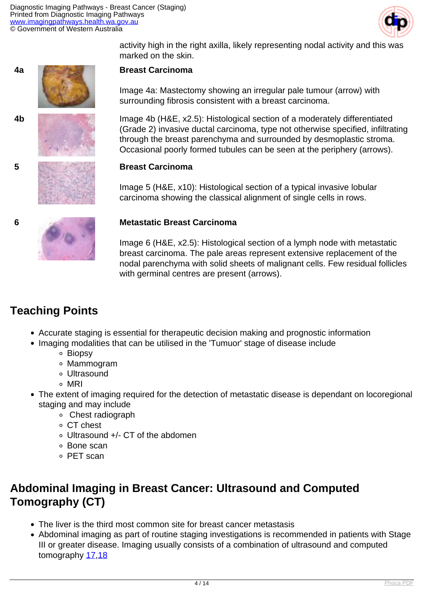

activity high in the right axilla, likely representing nodal activity and this was marked on the skin.











Image 4a: Mastectomy showing an irregular pale tumour (arrow) with surrounding fibrosis consistent with a breast carcinoma.

**4b** Image 4b (H&E, x2.5): Histological section of a moderately differentiated (Grade 2) invasive ductal carcinoma, type not otherwise specified, infiltrating through the breast parenchyma and surrounded by desmoplastic stroma. Occasional poorly formed tubules can be seen at the periphery (arrows).

#### **5 Breast Carcinoma**

Image 5 (H&E, x10): Histological section of a typical invasive lobular carcinoma showing the classical alignment of single cells in rows.

#### **6 Metastatic Breast Carcinoma**

Image 6 (H&E, x2.5): Histological section of a lymph node with metastatic breast carcinoma. The pale areas represent extensive replacement of the nodal parenchyma with solid sheets of malignant cells. Few residual follicles with germinal centres are present (arrows).

## **Teaching Points**

- Accurate staging is essential for therapeutic decision making and prognostic information
- Imaging modalities that can be utilised in the 'Tumuor' stage of disease include
	- Biopsy
	- Mammogram
	- Ultrasound
	- MRI
- The extent of imaging required for the detection of metastatic disease is dependant on locoregional staging and may include
	- Chest radiograph
	- CT chest
	- Ultrasound +/- CT of the abdomen
	- Bone scan
	- PET scan

## **Abdominal Imaging in Breast Cancer: Ultrasound and Computed Tomography (CT)**

- The liver is the third most common site for breast cancer metastasis
- Abdominal imaging as part of routine staging investigations is recommended in patients with Stage III or greater disease. Imaging usually consists of a combination of ultrasound and computed tomography [17](index.php?option=com_content&view=article&id=182&tab=references#17),[18](index.php?option=com_content&view=article&id=182&tab=references#18)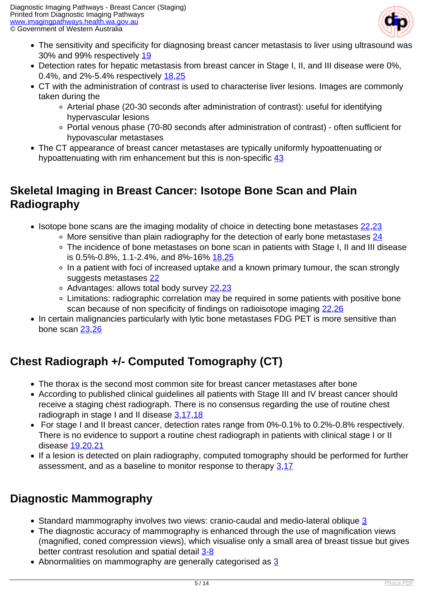

- The sensitivity and specificity for diagnosing breast cancer metastasis to liver using ultrasound was 30% and 99% respectively [19](index.php?option=com_content&view=article&id=182&tab=references#19)
- Detection rates for hepatic metastasis from breast cancer in Stage I, II, and III disease were 0%, 0.4%, and 2%-5.4% respectively [18,](index.php?option=com_content&view=article&id=182&tab=references#18)[25](index.php?option=com_content&view=article&id=182&tab=references#25)
- CT with the administration of contrast is used to characterise liver lesions. Images are commonly taken during the
	- Arterial phase (20-30 seconds after administration of contrast): useful for identifying hypervascular lesions
	- Portal venous phase (70-80 seconds after administration of contrast) often sufficient for hypovascular metastases
- The CT appearance of breast cancer metastases are typically uniformly hypoattenuating or hypoattenuating with rim enhancement but this is non-specific [43](index.php?option=com_content&view=article&id=182&tab=references#43)

## **Skeletal Imaging in Breast Cancer: Isotope Bone Scan and Plain Radiography**

- Isotope bone scans are the imaging modality of choice in detecting bone metastases [22,](index.php?option=com_content&view=article&id=182&tab=references#22)[23](index.php?option=com_content&view=article&id=182&tab=references#23)
	- $\circ$  More sensitive than plain radiography for the detection of early bone metastases [24](index.php?option=com_content&view=article&id=182&tab=references#24)
	- The incidence of bone metastases on bone scan in patients with Stage I, II and III disease is 0.5%-0.8%, 1.1-2.4%, and 8%-16% [18,](index.php?option=com_content&view=article&id=182&tab=references#18)[25](index.php?option=com_content&view=article&id=182&tab=references#25)
	- In a patient with foci of increased uptake and a known primary tumour, the scan strongly suggests metastases [22](index.php?option=com_content&view=article&id=182&tab=references#22)
	- Advantages: allows total body survey [22](index.php?option=com_content&view=article&id=182&tab=references#22),[23](index.php?option=com_content&view=article&id=182&tab=references#23)
	- Limitations: radiographic correlation may be required in some patients with positive bone scan because of non specificity of findings on radioisotope imaging [22,](index.php?option=com_content&view=article&id=182&tab=references#22)[26](index.php?option=com_content&view=article&id=182&tab=references#26)
- In certain malignancies particularly with lytic bone metastases FDG PET is more sensitive than bone scan [23](index.php?option=com_content&view=article&id=182&tab=references#23),[26](index.php?option=com_content&view=article&id=182&tab=references#26)

## **Chest Radiograph +/- Computed Tomography (CT)**

- The thorax is the second most common site for breast cancer metastases after bone
- According to published clinical quidelines all patients with Stage III and IV breast cancer should receive a staging chest radiograph. There is no consensus regarding the use of routine chest radiograph in stage I and II disease [3,](index.php?option=com_content&view=article&id=182&tab=references#3)[17](index.php?option=com_content&view=article&id=182&tab=references#17),[18](index.php?option=com_content&view=article&id=182&tab=references#18)
- For stage I and II breast cancer, detection rates range from 0%-0.1% to 0.2%-0.8% respectively. There is no evidence to support a routine chest radiograph in patients with clinical stage I or II disease [19](index.php?option=com_content&view=article&id=182&tab=references#19),[20](index.php?option=com_content&view=article&id=182&tab=references#20)[,21](index.php?option=com_content&view=article&id=182&tab=references#21)
- If a lesion is detected on plain radiography, computed tomography should be performed for further assessment, and as a baseline to monitor response to therapy [3](index.php?option=com_content&view=article&id=182&tab=references#3)[,17](index.php?option=com_content&view=article&id=182&tab=references#17)

## **Diagnostic Mammography**

- Standard mammography involves two views: cranio-caudal and medio-lateral oblique [3](index.php?option=com_content&view=article&id=182&tab=references#3)
- The diagnostic accuracy of mammography is enhanced through the use of magnification views (magnified, coned compression views), which visualise only a small area of breast tissue but gives better contrast resolution and spatial detail [3-8](index.php?option=com_content&view=article&id=182&tab=references#3)
- Abnormalities on mammography are generally categorised as [3](index.php?option=com_content&view=article&id=182&tab=references#3)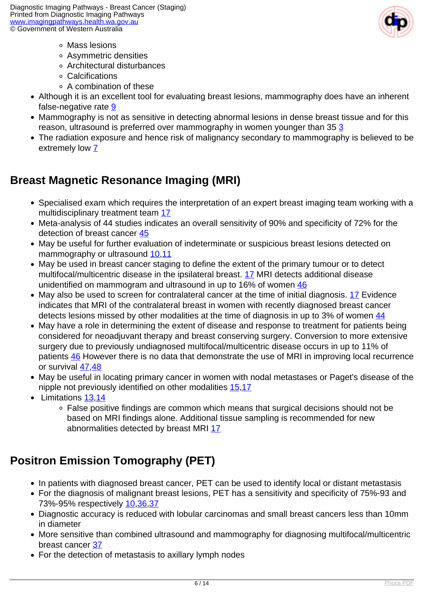

- Mass lesions
- Asymmetric densities
- Architectural disturbances
- Calcifications
- A combination of these
- Although it is an excellent tool for evaluating breast lesions, mammography does have an inherent false-negative rate [9](index.php?option=com_content&view=article&id=182&tab=references#9)
- Mammography is not as sensitive in detecting abnormal lesions in dense breast tissue and for this reason, ultrasound is preferred over mammography in women younger than [3](index.php?option=com_content&view=article&id=182&tab=references#3)5 3
- The radiation exposure and hence risk of malignancy secondary to mammography is believed to be extremely low [7](index.php?option=com_content&view=article&id=182&tab=references#7)

## **Breast Magnetic Resonance Imaging (MRI)**

- Specialised exam which requires the interpretation of an expert breast imaging team working with a multidisciplinary treatment team [17](index.php?option=com_content&view=article&id=182&tab=references#17)
- Meta-analysis of 44 studies indicates an overall sensitivity of 90% and specificity of 72% for the detection of breast cancer [45](index.php?option=com_content&view=article&id=182&tab=references#45)
- May be useful for further evaluation of indeterminate or suspicious breast lesions detected on mammography or ultrasound [10](index.php?option=com_content&view=article&id=182&tab=references#10),[11](index.php?option=com_content&view=article&id=182&tab=references#11)
- May be used in breast cancer staging to define the extent of the primary tumour or to detect multifocal/multicentric disease in the ipsilateral breast. [17](index.php?option=com_content&view=article&id=182&tab=references#17) MRI detects additional disease unidentified on mammogram and ultrasound in up to 16% of women [46](index.php?option=com_content&view=article&id=182&tab=references#46)
- May also be used to screen for contralateral cancer at the time of initial diagnosis. [17](index.php?option=com_content&view=article&id=182&tab=references#17) Evidence indicates that MRI of the contralateral breast in women with recently diagnosed breast cancer detects lesions missed by other modalities at the time of diagnosis in up to 3% of women [44](index.php?option=com_content&view=article&id=182&tab=references#44)
- May have a role in determining the extent of disease and response to treatment for patients being considered for neoadjuvant therapy and breast conserving surgery. Conversion to more extensive surgery due to previously undiagnosed multifocal/multicentric disease occurs in up to 11% of patients [46](index.php?option=com_content&view=article&id=182&tab=references#46) However there is no data that demonstrate the use of MRI in improving local recurrence or survival [47,](index.php?option=com_content&view=article&id=182&tab=references#47)[48](index.php?option=com_content&view=article&id=182&tab=references#48)
- May be useful in locating primary cancer in women with nodal metastases or Paget's disease of the nipple not previously identified on other modalities [15](index.php?option=com_content&view=article&id=182&tab=references#15),[17](index.php?option=com_content&view=article&id=182&tab=references#17)
- Limitations 13.[14](index.php?option=com_content&view=article&id=182&tab=references#14)
	- False positive findings are common which means that surgical decisions should not be based on MRI findings alone. Additional tissue sampling is recommended for new abnormalities detected by breast MRI [17](index.php?option=com_content&view=article&id=182&tab=references#17)

## **Positron Emission Tomography (PET)**

- In patients with diagnosed breast cancer, PET can be used to identify local or distant metastasis
- For the diagnosis of malignant breast lesions, PET has a sensitivity and specificity of 75%-93 and 73%-95% respectively [10,](index.php?option=com_content&view=article&id=182&tab=references#10)[36](index.php?option=com_content&view=article&id=182&tab=references#36),[37](index.php?option=com_content&view=article&id=182&tab=references#37)
- Diagnostic accuracy is reduced with lobular carcinomas and small breast cancers less than 10mm in diameter
- More sensitive than combined ultrasound and mammography for diagnosing multifocal/multicentric breast cancer [37](index.php?option=com_content&view=article&id=182&tab=references#37)
- For the detection of metastasis to axillary lymph nodes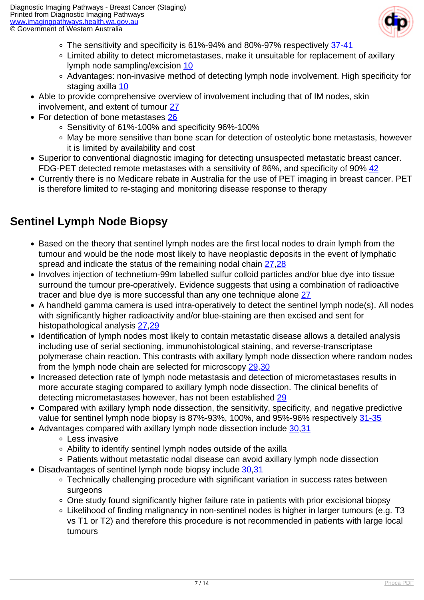

- The sensitivity and specificity is 61%-94% and 80%-97% respectively [37-41](index.php?option=com_content&view=article&id=182&tab=references#37)
- Limited ability to detect micrometastases, make it unsuitable for replacement of axillary lymph node sampling/excision [10](index.php?option=com_content&view=article&id=182&tab=references#10)
- Advantages: non-invasive method of detecting lymph node involvement. High specificity for staging axilla [10](index.php?option=com_content&view=article&id=182&tab=references#10)
- Able to provide comprehensive overview of involvement including that of IM nodes, skin involvement, and extent of tumour [27](index.php?option=com_content&view=article&id=182&tab=references#27)
- For detection of bone metastases [26](index.php?option=com_content&view=article&id=182&tab=references#26)
	- Sensitivity of 61%-100% and specificity 96%-100%
	- May be more sensitive than bone scan for detection of osteolytic bone metastasis, however it is limited by availability and cost
- Superior to conventional diagnostic imaging for detecting unsuspected metastatic breast cancer. FDG-PET detected remote metastases with a sensitivity of 86%, and specificity of 90% [42](index.php?option=com_content&view=article&id=182&tab=references#42)
- Currently there is no Medicare rebate in Australia for the use of PET imaging in breast cancer. PET is therefore limited to re-staging and monitoring disease response to therapy

## **Sentinel Lymph Node Biopsy**

- Based on the theory that sentinel lymph nodes are the first local nodes to drain lymph from the tumour and would be the node most likely to have neoplastic deposits in the event of lymphatic spread and indicate the status of the remaining nodal chain [27](index.php?option=com_content&view=article&id=182&tab=references#27)[,28](index.php?option=com_content&view=article&id=182&tab=references#28)
- Involves injection of technetium-99m labelled sulfur colloid particles and/or blue dye into tissue surround the tumour pre-operatively. Evidence suggests that using a combination of radioactive tracer and blue dye is more successful than any one technique alone [27](index.php?option=com_content&view=article&id=182&tab=references#27)
- A handheld gamma camera is used intra-operatively to detect the sentinel lymph node(s). All nodes with significantly higher radioactivity and/or blue-staining are then excised and sent for histopathological analysis [27](index.php?option=com_content&view=article&id=182&tab=references#27)[,29](index.php?option=com_content&view=article&id=182&tab=references#2)
- Identification of lymph nodes most likely to contain metastatic disease allows a detailed analysis including use of serial sectioning, immunohistological staining, and reverse-transcriptase polymerase chain reaction. This contrasts with axillary lymph node dissection where random nodes from the lymph node chain are selected for microscopy [29](index.php?option=com_content&view=article&id=182&tab=references#29),[30](index.php?option=com_content&view=article&id=182&tab=references#30)
- Increased detection rate of lymph node metastasis and detection of micrometastases results in more accurate staging compared to axillary lymph node dissection. The clinical benefits of detecting micrometastases however, has not been established [29](index.php?option=com_content&view=article&id=182&tab=references#29)
- Compared with axillary lymph node dissection, the sensitivity, specificity, and negative predictive value for sentinel lymph node biopsy is 87%-93%, 100%, and 95%-96% respectively [31-35](index.php?option=com_content&view=article&id=182&tab=references#31)
- Advantages compared with axillary lymph node dissection include [30,](index.php?option=com_content&view=article&id=182&tab=references#30)[31](index.php?option=com_content&view=article&id=182&tab=references#31)
	- Less invasive
	- Ability to identify sentinel lymph nodes outside of the axilla
	- Patients without metastatic nodal disease can avoid axillary lymph node dissection
- Disadvantages of sentinel lymph node biopsy include [30](index.php?option=com_content&view=article&id=182&tab=references#30).31
	- Technically challenging procedure with significant variation in success rates between surgeons
	- One study found significantly higher failure rate in patients with prior excisional biopsy
	- Likelihood of finding malignancy in non-sentinel nodes is higher in larger tumours (e.g. T3 vs T1 or T2) and therefore this procedure is not recommended in patients with large local tumours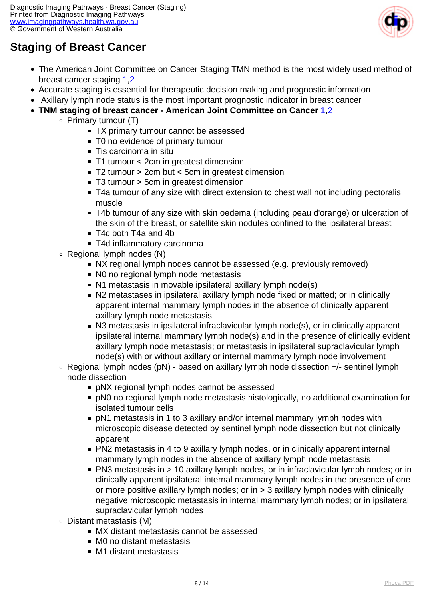

## **Staging of Breast Cancer**

- The American Joint Committee on Cancer Staging TMN method is the most widely used method of breast cancer staging [1](index.php?option=com_content&view=article&id=182&tab=references#1)[,2](index.php?option=com_content&view=article&id=182&tab=references#2)
- Accurate staging is essential for therapeutic decision making and prognostic information
- Axillary lymph node status is the most important prognostic indicator in breast cancer
- **TNM staging of breast cancer American Joint Committee on Cancer [1](index.php?option=com_content&view=article&id=182&tab=references#1)[,2](index.php?option=com_content&view=article&id=182&tab=references#2)** 
	- $\circ$  Primary tumour (T)
		- TX primary tumour cannot be assessed
		- T0 no evidence of primary tumour
		- Tis carcinoma in situ
		- T1 tumour < 2cm in greatest dimension
		- T2 tumour > 2cm but < 5cm in greatest dimension
		- T3 tumour > 5cm in greatest dimension
		- T4a tumour of any size with direct extension to chest wall not including pectoralis muscle
		- T4b tumour of any size with skin oedema (including peau d'orange) or ulceration of the skin of the breast, or satellite skin nodules confined to the ipsilateral breast
		- T4c both T4a and 4b
		- T4d inflammatory carcinoma
		- Regional lymph nodes (N)
			- NX regional lymph nodes cannot be assessed (e.g. previously removed)
			- No no regional lymph node metastasis
			- N1 metastasis in movable ipsilateral axillary lymph node(s)
			- N2 metastases in ipsilateral axillary lymph node fixed or matted; or in clinically apparent internal mammary lymph nodes in the absence of clinically apparent axillary lymph node metastasis
			- N3 metastasis in ipsilateral infraclavicular lymph node(s), or in clinically apparent ipsilateral internal mammary lymph node(s) and in the presence of clinically evident axillary lymph node metastasis; or metastasis in ipsilateral supraclavicular lymph node(s) with or without axillary or internal mammary lymph node involvement
		- Regional lymph nodes (pN) based on axillary lymph node dissection +/- sentinel lymph node dissection
			- pNX regional lymph nodes cannot be assessed
			- pN0 no regional lymph node metastasis histologically, no additional examination for isolated tumour cells
			- pN1 metastasis in 1 to 3 axillary and/or internal mammary lymph nodes with microscopic disease detected by sentinel lymph node dissection but not clinically apparent
			- PN2 metastasis in 4 to 9 axillary lymph nodes, or in clinically apparent internal mammary lymph nodes in the absence of axillary lymph node metastasis
			- PN3 metastasis in > 10 axillary lymph nodes, or in infraclavicular lymph nodes; or in clinically apparent ipsilateral internal mammary lymph nodes in the presence of one or more positive axillary lymph nodes; or in > 3 axillary lymph nodes with clinically negative microscopic metastasis in internal mammary lymph nodes; or in ipsilateral supraclavicular lymph nodes
		- Distant metastasis (M)
			- **MX** distant metastasis cannot be assessed
			- M0 no distant metastasis
			- M1 distant metastasis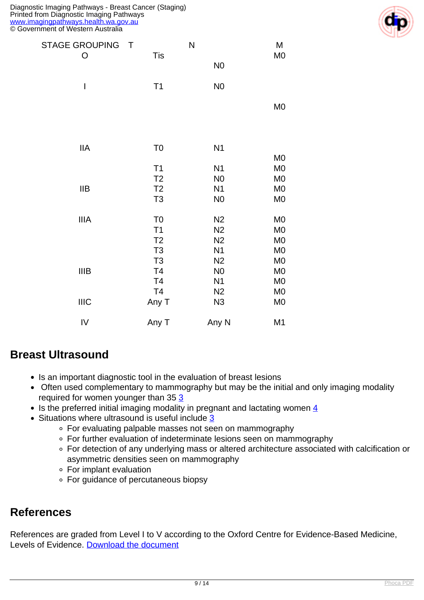| <b>STAGE GROUPING</b><br>$\top$ |                | N              | M              |
|---------------------------------|----------------|----------------|----------------|
| $\mathsf{O}$                    | <b>Tis</b>     | N <sub>0</sub> | M <sub>0</sub> |
| $\mathsf I$                     | T1             | N <sub>0</sub> |                |
|                                 |                |                | M <sub>0</sub> |
| <b>IIA</b>                      | T <sub>0</sub> | N <sub>1</sub> |                |
|                                 |                |                | M <sub>0</sub> |
|                                 | T1             | N <sub>1</sub> | M <sub>0</sub> |
|                                 | T <sub>2</sub> | N <sub>0</sub> | M <sub>0</sub> |
| IIB                             | T <sub>2</sub> | N <sub>1</sub> | M <sub>0</sub> |
|                                 | T <sub>3</sub> | N <sub>0</sub> | M <sub>0</sub> |
| <b>IIIA</b>                     | T <sub>0</sub> | N <sub>2</sub> | M <sub>0</sub> |
|                                 | T1             | N <sub>2</sub> | M <sub>0</sub> |
|                                 | T <sub>2</sub> | N <sub>2</sub> | M <sub>0</sub> |
|                                 | T <sub>3</sub> | N <sub>1</sub> | M <sub>0</sub> |
|                                 | T <sub>3</sub> | N <sub>2</sub> | M <sub>0</sub> |
| <b>IIIB</b>                     | T <sub>4</sub> | N <sub>0</sub> | M <sub>0</sub> |
|                                 | T <sub>4</sub> | N <sub>1</sub> | M <sub>0</sub> |
|                                 | T <sub>4</sub> | N <sub>2</sub> | M <sub>0</sub> |
| <b>IIIC</b>                     | Any T          | N3             | M <sub>0</sub> |
| ${\sf IV}$                      | Any T          | Any N          | M <sub>1</sub> |
|                                 |                |                |                |



- Is an important diagnostic tool in the evaluation of breast lesions
- Often used complementary to mammography but may be the initial and only imaging modality required for women younger than 35 [3](index.php?option=com_content&view=article&id=182&tab=references#3)
- Is the preferred initial imaging modality in pregnant and lactating women  $\frac{4}{5}$  $\frac{4}{5}$  $\frac{4}{5}$
- Situations where ultrasound is useful include [3](index.php?option=com_content&view=article&id=182&tab=references#3)
	- For evaluating palpable masses not seen on mammography
	- For further evaluation of indeterminate lesions seen on mammography
	- For detection of any underlying mass or altered architecture associated with calcification or asymmetric densities seen on mammography
	- For implant evaluation
	- For guidance of percutaneous biopsy

#### **References**

References are graded from Level I to V according to the Oxford Centre for Evidence-Based Medicine, Levels of Evidence. [Download the document](http://www.cebm.net/wp-content/uploads/2014/06/CEBM-Levels-of-Evidence-2.1.pdf)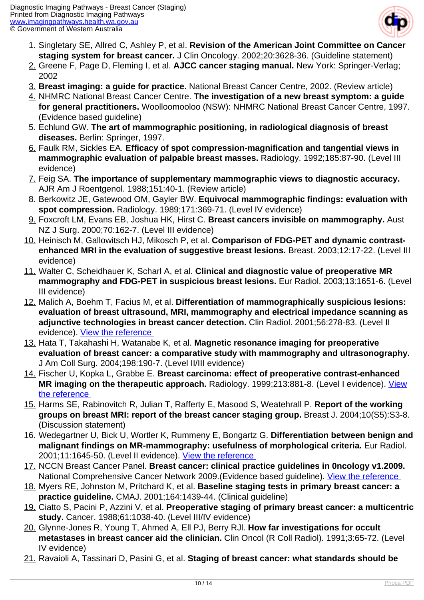

- 1. Singletary SE, Allred C, Ashley P, et al. **Revision of the American Joint Committee on Cancer staging system for breast cancer.** J Clin Oncology. 2002;20:3628-36. (Guideline statement)
- 2. Greene F, Page D, Fleming I, et al. **AJCC cancer staging manual.** New York: Springer-Verlag; 2002
- 3. **Breast imaging: a guide for practice.** National Breast Cancer Centre, 2002. (Review article)
- 4. NHMRC National Breast Cancer Centre. **The investigation of a new breast symptom: a guide for general practitioners.** Woolloomooloo (NSW): NHMRC National Breast Cancer Centre, 1997. (Evidence based guideline)
- 5. Echlund GW. **The art of mammographic positioning, in radiological diagnosis of breast diseases.** Berlin: Springer, 1997.
- 6. Faulk RM, Sickles EA. **Efficacy of spot compression-magnification and tangential views in mammographic evaluation of palpable breast masses.** Radiology. 1992;185:87-90. (Level III evidence)
- 7. Feig SA. **The importance of supplementary mammographic views to diagnostic accuracy.** AJR Am J Roentgenol. 1988;151:40-1. (Review article)
- 8. Berkowitz JE, Gatewood OM, Gayler BW. **Equivocal mammographic findings: evaluation with spot compression.** Radiology. 1989;171:369-71. (Level IV evidence)
- 9. Foxcroft LM, Evans EB, Joshua HK, Hirst C. **Breast cancers invisible on mammography.** Aust NZ J Surg. 2000;70:162-7. (Level III evidence)
- 10. Heinisch M, Gallowitsch HJ, Mikosch P, et al. **Comparison of FDG-PET and dynamic contrastenhanced MRI in the evaluation of suggestive breast lesions.** Breast. 2003;12:17-22. (Level III evidence)
- 11. Walter C, Scheidhauer K, Scharl A, et al. **Clinical and diagnostic value of preoperative MR mammography and FDG-PET in suspicious breast lesions.** Eur Radiol. 2003;13:1651-6. (Level III evidence)
- 12. Malich A, Boehm T, Facius M, et al. **Differentiation of mammographically suspicious lesions: evaluation of breast ultrasound, MRI, mammography and electrical impedance scanning as adjunctive technologies in breast cancer detection.** Clin Radiol. 2001;56:278-83. (Level II evidence). [View the reference](http://www.ncbi.nlm.nih.gov/entrez/query.fcgi?orig_db=PubMed&db=PubMed&cmd=Search&defaultField=Title+Word&term=Differentiation+of+Mammographically+Suspicious+Lesions:+Evaluation+of+Breast+Ultrasound,+MRI+Mammography+and+Electrical+Impedance+Scanning+a)
- 13. Hata T, Takahashi H, Watanabe K, et al. **Magnetic resonance imaging for preoperative evaluation of breast cancer: a comparative study with mammography and ultrasonography.** J Am Coll Surg. 2004;198:190-7. (Level II/III evidence)
- 14. Fischer U, Kopka L, Grabbe E. **Breast carcinoma: effect of preoperative contrast-enhanced** MR imaging on the therapeutic approach. Radiology. 1999;213:881-8. (Level I evidence). [View](http://www.ncbi.nlm.nih.gov/entrez/query.fcgi?orig_db=PubMed&db=PubMed&cmd=Search&defaultField=Title+Word&term=Effect+of+Preoperative+Contrast-enhanced+MR+Imaging+on+the+Therapeutic+Approach) [the reference](http://www.ncbi.nlm.nih.gov/entrez/query.fcgi?orig_db=PubMed&db=PubMed&cmd=Search&defaultField=Title+Word&term=Effect+of+Preoperative+Contrast-enhanced+MR+Imaging+on+the+Therapeutic+Approach)
- 15. Harms SE, Rabinovitch R, Julian T, Rafferty E, Masood S, Weatehrall P. **Report of the working groups on breast MRI: report of the breast cancer staging group.** Breast J. 2004;10(S5):S3-8. (Discussion statement)
- 16. Wedegartner U, Bick U, Wortler K, Rummeny E, Bongartz G. **Differentiation between benign and malignant findings on MR-mammography: usefulness of morphological criteria.** Eur Radiol. 2001;11:1645-50. (Level II evidence). [View the reference](http://www.ncbi.nlm.nih.gov/entrez/query.fcgi?cmd=Retrieve&db=pubmed&dopt=Abstract&list_uids=11511885)
- 17. NCCN Breast Cancer Panel. **Breast cancer: clinical practice guidelines in 0ncology v1.2009.** National Comprehensive Cancer Network 2009.(Evidence based guideline). [View the reference](http://www.nccn.org/)
- 18. Myers RE, Johnston M, Pritchard K, et al. **Baseline staging tests in primary breast cancer: a practice guideline.** CMAJ. 2001;164:1439-44. (Clinical guideline)
- 19. Ciatto S, Pacini P, Azzini V, et al. **Preoperative staging of primary breast cancer: a multicentric study.** Cancer. 1988;61:1038-40. (Level III/IV evidence)
- 20. Glynne-Jones R, Young T, Ahmed A, Ell PJ, Berry RJl. **How far investigations for occult metastases in breast cancer aid the clinician.** Clin Oncol (R Coll Radiol). 1991;3:65-72. (Level IV evidence)
- 21. Ravaioli A, Tassinari D, Pasini G, et al. **Staging of breast cancer: what standards should be**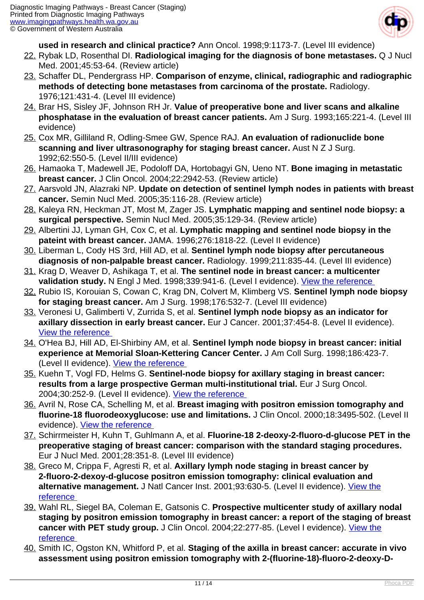

**used in research and clinical practice?** Ann Oncol. 1998;9:1173-7. (Level III evidence)

- 22. Rybak LD, Rosenthal DI. **Radiological imaging for the diagnosis of bone metastases.** Q J Nucl Med. 2001;45:53-64. (Review article)
- 23. Schaffer DL, Pendergrass HP. **Comparison of enzyme, clinical, radiographic and radiographic methods of detecting bone metastases from carcinoma of the prostate.** Radiology. 1976;121:431-4. (Level III evidence)
- 24. Brar HS, Sisley JF, Johnson RH Jr. **Value of preoperative bone and liver scans and alkaline phosphatase in the evaluation of breast cancer patients.** Am J Surg. 1993;165:221-4. (Level III evidence)
- 25. Cox MR, Gilliland R, Odling-Smee GW, Spence RAJ. **An evaluation of radionuclide bone scanning and liver ultrasonography for staging breast cancer.** Aust N Z J Surg. 1992;62:550-5. (Level II/III evidence)
- 26. Hamaoka T, Madewell JE, Podoloff DA, Hortobagyi GN, Ueno NT. **Bone imaging in metastatic breast cancer.** J Clin Oncol. 2004;22:2942-53. (Review article)
- 27. Aarsvold JN, Alazraki NP. **Update on detection of sentinel lymph nodes in patients with breast cancer.** Semin Nucl Med. 2005;35:116-28. (Review article)
- 28. Kaleya RN, Heckman JT, Most M, Zager JS. **Lymphatic mapping and sentinel node biopsy: a surgical perspective.** Semin Nucl Med. 2005;35:129-34. (Review article)
- 29. Albertini JJ, Lyman GH, Cox C, et al. **Lymphatic mapping and sentinel node biopsy in the pateint with breast cancer.** JAMA. 1996;276:1818-22. (Level II evidence)
- 30. Liberman L, Cody HS 3rd, Hill AD, et al. **Sentinel lymph node biopsy after percutaneous diagnosis of non-palpable breast cancer.** Radiology. 1999;211:835-44. (Level III evidence)
- 31. Krag D, Weaver D, Ashikaga T, et al. **The sentinel node in breast cancer: a multicenter validation study.** N Engl J Med. 1998;339:941-6. (Level I evidence). [View the reference](http://www.ncbi.nlm.nih.gov/entrez/query.fcgi?db=pubmed&cmd=Retrieve&dopt=AbstractPlus&list_uids=9753708&query_hl=86&itool=pubmed_docsum)
- 32. Rubio IS, Korouian S, Cowan C, Krag DN, Colvert M, Klimberg VS. **Sentinel lymph node biopsy for staging breast cancer.** Am J Surg. 1998;176:532-7. (Level III evidence)
- 33. Veronesi U, Galimberti V, Zurrida S, et al. **Sentinel lymph node biopsy as an indicator for axillary dissection in early breast cancer.** Eur J Cancer. 2001;37:454-8. (Level II evidence). [View the reference](http://www.ncbi.nlm.nih.gov/entrez/query.fcgi?cmd=Retrieve&db=pubmed&dopt=Abstract&list_uids=11267853)
- 34. O'Hea BJ, Hill AD, El-Shirbiny AM, et al. **Sentinel lymph node biopsy in breast cancer: initial experience at Memorial Sloan-Kettering Cancer Center.** J Am Coll Surg. 1998;186:423-7. (Level II evidence). [View the reference](http://www.ncbi.nlm.nih.gov/entrez/query.fcgi?cmd=Retrieve&db=pubmed&dopt=Abstract&list_uids=9544956)
- 35. Kuehn T, Vogl FD, Helms G. **Sentinel-node biopsy for axillary staging in breast cancer: results from a large prospective German multi-institutional trial.** Eur J Surg Oncol. 2004;30:252-9. (Level II evidence). [View the reference](http://www.ncbi.nlm.nih.gov/entrez/query.fcgi?cmd=Retrieve&db=pubmed&dopt=Abstract&list_uids=15028305)
- 36. Avril N, Rose CA, Schelling M, et al. **Breast imaging with positron emission tomography and fluorine-18 fluorodeoxyglucose: use and limitations.** J Clin Oncol. 2000;18:3495-502. (Level II evidence). [View the reference](http://www.ncbi.nlm.nih.gov/entrez/query.fcgi?cmd=Retrieve&db=pubmed&dopt=Abstract&list_uids=11032590)
- 37. Schirrmeister H, Kuhn T, Guhlmann A, et al. **Fluorine-18 2-deoxy-2-fluoro-d-glucose PET in the preoperative staging of breast cancer: comparison with the standard staging procedures.** Eur J Nucl Med. 2001;28:351-8. (Level III evidence)
- 38. Greco M, Crippa F, Agresti R, et al. **Axillary lymph node staging in breast cancer by 2-fluoro-2-dexoy-d-glucose positron emission tomography: clinical evaluation and alternative management.** J Natl Cancer Inst. 2001;93:630-5. (Level II evidence). [View the](http://www.ncbi.nlm.nih.gov/entrez/query.fcgi?cmd=Retrieve&db=pubmed&dopt=Abstract&list_uids=11309439) [reference](http://www.ncbi.nlm.nih.gov/entrez/query.fcgi?cmd=Retrieve&db=pubmed&dopt=Abstract&list_uids=11309439)
- 39. Wahl RL, Siegel BA, Coleman E, Gatsonis C. **Prospective multicenter study of axillary nodal staging by positron emission tomography in breast cancer: a report of the staging of breast cancer with PET study group.** J Clin Oncol. 2004;22:277-85. (Level I evidence). [View the](http://www.ncbi.nlm.nih.gov/entrez/query.fcgi?cmd=Retrieve&db=pubmed&dopt=Abstract&list_uids=14722036) [reference](http://www.ncbi.nlm.nih.gov/entrez/query.fcgi?cmd=Retrieve&db=pubmed&dopt=Abstract&list_uids=14722036)
- 40. Smith IC, Ogston KN, Whitford P, et al. **Staging of the axilla in breast cancer: accurate in vivo assessment using positron emission tomography with 2-(fluorine-18)-fluoro-2-deoxy-D-**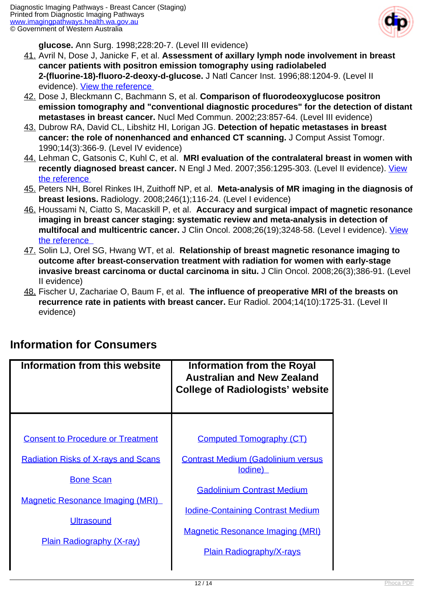

**glucose.** Ann Surg. 1998;228:20-7. (Level III evidence)

- 41. Avril N, Dose J, Janicke F, et al. **Assessment of axillary lymph node involvement in breast cancer patients with positron emission tomography using radiolabeled 2-(fluorine-18)-fluoro-2-deoxy-d-glucose.** J Natl Cancer Inst. 1996;88:1204-9. (Level II evidence). [View the reference](http://www.ncbi.nlm.nih.gov/entrez/query.fcgi?cmd=Retrieve&db=pubmed&dopt=Abstract&list_uids=8780629)
- 42. Dose J, Bleckmann C, Bachmann S, et al. **Comparison of fluorodeoxyglucose positron emission tomography and "conventional diagnostic procedures" for the detection of distant metastases in breast cancer.** Nucl Med Commun. 2002;23:857-64. (Level III evidence)
- 43. Dubrow RA, David CL, Libshitz HI, Lorigan JG. **Detection of hepatic metastases in breast cancer: the role of nonenhanced and enhanced CT scanning.** J Comput Assist Tomogr. 1990;14(3):366-9. (Level IV evidence)
- 44. Lehman C, Gatsonis C, Kuhl C, et al. **MRI evaluation of the contralateral breast in women with recently diagnosed breast cancer.** N Engl J Med. 2007;356:1295-303. (Level II evidence). [View](http://proquest.umi.com.rplibresources.health.wa.gov.au/pqdlink?index=16&did=1246505991&SrchMode=3&sid=5&Fmt=4&VInst=PROD&VType=PQD&RQT=309&VName=PQD&TS=1271130764&clientId=61792&aid=1) [the reference](http://proquest.umi.com.rplibresources.health.wa.gov.au/pqdlink?index=16&did=1246505991&SrchMode=3&sid=5&Fmt=4&VInst=PROD&VType=PQD&RQT=309&VName=PQD&TS=1271130764&clientId=61792&aid=1)
- 45. Peters NH, Borel Rinkes IH, Zuithoff NP, et al. **Meta-analysis of MR imaging in the diagnosis of breast lesions.** Radiology. 2008;246(1);116-24. (Level I evidence)
- 46. Houssami N, Ciatto S, Macaskill P, et al. **Accuracy and surgical impact of magnetic resonance imaging in breast cancer staging: systematic review and meta-analysis in detection of multifocal and multicentric cancer.** J Clin Oncol. 2008;26(19);3248-58. (Level I evidence). [View](http://jco.ascopubs.org.rplibresources.health.wa.gov.au/cgi/reprint/26/19/3248) [the reference](http://jco.ascopubs.org.rplibresources.health.wa.gov.au/cgi/reprint/26/19/3248)
- 47. Solin LJ, Orel SG, Hwang WT, et al. **Relationship of breast magnetic resonance imaging to outcome after breast-conservation treatment with radiation for women with early-stage invasive breast carcinoma or ductal carcinoma in situ.** J Clin Oncol. 2008;26(3);386-91. (Level II evidence)
- 48. Fischer U, Zachariae O, Baum F, et al. **The influence of preoperative MRI of the breasts on recurrence rate in patients with breast cancer.** Eur Radiol. 2004;14(10):1725-31. (Level II evidence)

| Information from this website                                                                                                                                      | Information from the Royal<br><b>Australian and New Zealand</b><br><b>College of Radiologists' website</b> |
|--------------------------------------------------------------------------------------------------------------------------------------------------------------------|------------------------------------------------------------------------------------------------------------|
| <b>Consent to Procedure or Treatment</b>                                                                                                                           | <b>Computed Tomography (CT)</b>                                                                            |
| <b>Radiation Risks of X-rays and Scans</b><br><b>Bone Scan</b><br><b>Magnetic Resonance Imaging (MRI)</b><br><b>Ultrasound</b><br><b>Plain Radiography (X-ray)</b> | <b>Contrast Medium (Gadolinium versus</b><br>lodine)                                                       |
|                                                                                                                                                                    | <b>Gadolinium Contrast Medium</b><br><b>Iodine-Containing Contrast Medium</b>                              |
|                                                                                                                                                                    | <b>Magnetic Resonance Imaging (MRI)</b><br><b>Plain Radiography/X-rays</b>                                 |

#### **Information for Consumers**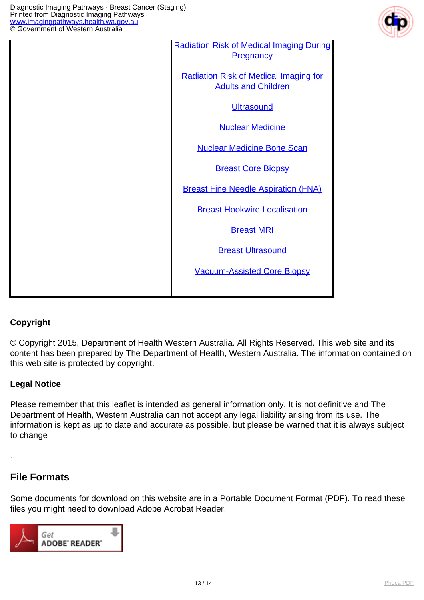

| <b>Radiation Risk of Medical Imaging During</b><br><b>Pregnancy</b>        |
|----------------------------------------------------------------------------|
| <b>Radiation Risk of Medical Imaging for</b><br><b>Adults and Children</b> |
| <b>Ultrasound</b>                                                          |
| <b>Nuclear Medicine</b>                                                    |
| <b>Nuclear Medicine Bone Scan</b>                                          |
| <b>Breast Core Biopsy</b>                                                  |
| <b>Breast Fine Needle Aspiration (FNA)</b>                                 |
| <b>Breast Hookwire Localisation</b>                                        |
| <b>Breast MRI</b>                                                          |
| <b>Breast Ultrasound</b>                                                   |
| <b>Vacuum-Assisted Core Biopsy</b>                                         |
|                                                                            |

#### **Copyright**

© Copyright 2015, Department of Health Western Australia. All Rights Reserved. This web site and its content has been prepared by The Department of Health, Western Australia. The information contained on this web site is protected by copyright.

#### **Legal Notice**

Please remember that this leaflet is intended as general information only. It is not definitive and The Department of Health, Western Australia can not accept any legal liability arising from its use. The information is kept as up to date and accurate as possible, but please be warned that it is always subject to change

#### **File Formats**

.

Some documents for download on this website are in a Portable Document Format (PDF). To read these files you might need to download Adobe Acrobat Reader.